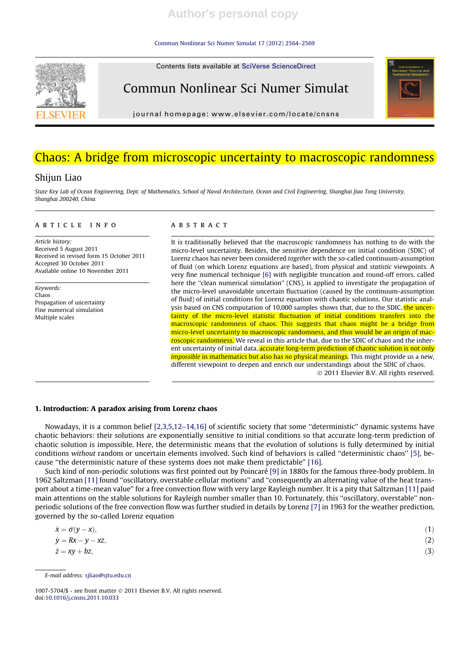Commun Nonlinear Sci Numer Simulat 17 (2012) 2564–2569

Contents lists available at SciVerse ScienceDirect



# Commun Nonlinear Sci Numer Simulat

journal homepage: www.elsevier.com/locate/cnsns

# Chaos: A bridge from microscopic uncertainty to macroscopic randomness

# Shijun Liao

State Key Lab of Ocean Engineering, Dept. of Mathematics, School of Naval Architecture, Ocean and Civil Engineering, Shanghai Jiao Tong University, Shanghai 200240, China

#### article info

Article history: Received 5 August 2011 Received in revised form 15 October 2011 Accepted 30 October 2011 Available online 10 November 2011

Keywords: Chaos Propagation of uncertainty Fine numerical simulation Multiple scales

# **ABSTRACT**

It is traditionally believed that the macroscopic randomness has nothing to do with the micro-level uncertainty. Besides, the sensitive dependence on initial condition (SDIC) of Lorenz chaos has never been considered together with the so-called continuum-assumption of fluid (on which Lorenz equations are based), from physical and statistic viewpoints. A very fine numerical technique [6] with negligible truncation and round-off errors, called here the "clean numerical simulation" (CNS), is applied to investigate the propagation of the micro-level unavoidable uncertain fluctuation (caused by the continuum-assumption of fluid) of initial conditions for Lorenz equation with chaotic solutions. Our statistic analysis based on CNS computation of 10,000 samples shows that, due to the SDIC, the uncertainty of the micro-level statistic fluctuation of initial conditions transfers into the macroscopic randomness of chaos. This suggests that chaos might be a bridge from micro-level uncertainty to macroscopic randomness, and thus would be an origin of macroscopic randomness. We reveal in this article that, due to the SDIC of chaos and the inherent uncertainty of initial data, accurate long-term prediction of chaotic solution is not only impossible in mathematics but also has no physical meanings. This might provide us a new, different viewpoint to deepen and enrich our understandings about the SDIC of chaos. © 2011 Elsevier B.V. All rights reserved.

# 1. Introduction: A paradox arising from Lorenz chaos

Nowadays, it is a common belief [2,3,5,12-14,16] of scientific society that some "deterministic" dynamic systems have chaotic behaviors: their solutions are exponentially sensitive to initial conditions so that accurate long-term prediction of chaotic solution is impossible. Here, the deterministic means that the evolution of solutions is fully determined by initial conditions without random or uncertain elements involved. Such kind of behaviors is called ''deterministic chaos'' [5], because ''the deterministic nature of these systems does not make them predictable'' [16].

Such kind of non-periodic solutions was first pointed out by Poincaré [9] in 1880s for the famous three-body problem. In 1962 Saltzman [11] found ''oscillatory, overstable cellular motions'' and ''consequently an alternating value of the heat transport about a time-mean value'' for a free convection flow with very large Rayleigh number. It is a pity that Saltzman [11] paid main attentions on the stable solutions for Rayleigh number smaller than 10. Fortunately, this ''oscillatory, overstable'' nonperiodic solutions of the free convection flow was further studied in details by Lorenz [7] in 1963 for the weather prediction, governed by the so-called Lorenz equation

| $\dot{x} = \sigma(y - x),$ | (1) |
|----------------------------|-----|
| $\dot{y} = Rx - y - xz,$   | (2) |
| $\dot{z} = xy + bz$ ,      | (3) |

E-mail address: sjliao@sjtu.edu.cn

<sup>1007-5704/\$ -</sup> see front matter  $\odot$  2011 Elsevier B.V. All rights reserved. doi:10.1016/j.cnsns.2011.10.033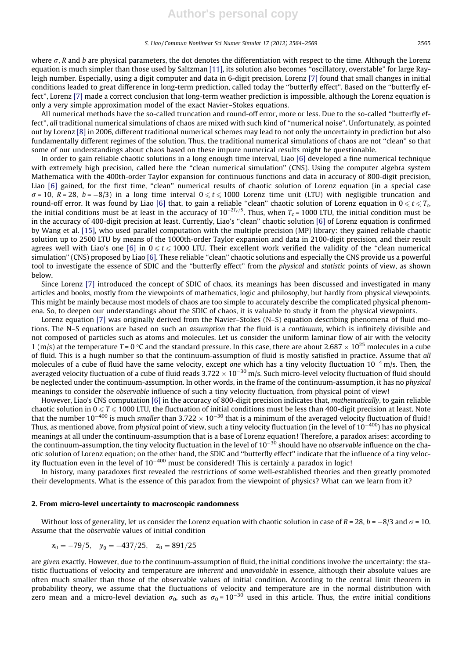where  $\sigma$ , R and b are physical parameters, the dot denotes the differentiation with respect to the time. Although the Lorenz equation is much simpler than those used by Saltzman [11], its solution also becomes ''oscillatory, overstable'' for large Rayleigh number. Especially, using a digit computer and data in 6-digit precision, Lorenz [7] found that small changes in initial conditions leaded to great difference in long-term prediction, called today the ''butterfly effect''. Based on the ''butterfly effect'', Lorenz [7] made a correct conclusion that long-term weather prediction is impossible, although the Lorenz equation is only a very simple approximation model of the exact Navier–Stokes equations.

All numerical methods have the so-called truncation and round-off error, more or less. Due to the so-called ''butterfly effect'', all traditional numerical simulations of chaos are mixed with such kind of ''numerical noise''. Unfortunately, as pointed out by Lorenz [8] in 2006, different traditional numerical schemes may lead to not only the uncertainty in prediction but also fundamentally different regimes of the solution. Thus, the traditional numerical simulations of chaos are not ''clean'' so that some of our understandings about chaos based on these impure numerical results might be questionable.

In order to gain reliable chaotic solutions in a long enough time interval, Liao [6] developed a fine numerical technique with extremely high precision, called here the "clean numerical simulation" (CNS). Using the computer algebra system Mathematica with the 400th-order Taylor expansion for continuous functions and data in accuracy of 800-digit precision, Liao [6] gained, for the first time, ''clean'' numerical results of chaotic solution of Lorenz equation (in a special case  $\sigma$  = 10, R = 28, b = -8/3) in a long time interval  $0 \le t \le 1000$  Lorenz time unit (LTU) with negligible truncation and round-off error. It was found by Liao [6] that, to gain a reliable "clean" chaotic solution of Lorenz equation in  $0 \le t \le T_c$ , the initial conditions must be at least in the accuracy of 10<sup>–27</sup>c/<sup>5</sup>. Thus, when T<sub>c</sub> = 1000 LTU, the initial condition must be in the accuracy of 400-digit precision at least. Currently, Liao's ''clean'' chaotic solution [6] of Lorenz equation is confirmed by Wang et al. [15], who used parallel computation with the multiple precision (MP) library: they gained reliable chaotic solution up to 2500 LTU by means of the 1000th-order Taylor expansion and data in 2100-digit precision, and their result agrees well with Liao's one [6] in  $0 \le t \le 1000$  LTU. Their excellent work verified the validity of the "clean numerical simulation'' (CNS) proposed by Liao [6]. These reliable ''clean'' chaotic solutions and especially the CNS provide us a powerful tool to investigate the essence of SDIC and the ''butterfly effect'' from the physical and statistic points of view, as shown below.

Since Lorenz [7] introduced the concept of SDIC of chaos, its meanings has been discussed and investigated in many articles and books, mostly from the viewpoints of mathematics, logic and philosophy, but hardly from physical viewpoints. This might be mainly because most models of chaos are too simple to accurately describe the complicated physical phenomena. So, to deepen our understandings about the SDIC of chaos, it is valuable to study it from the physical viewpoints.

Lorenz equation [7] was originally derived from the Navier–Stokes (N–S) equation describing phenomena of fluid motions. The N–S equations are based on such an assumption that the fluid is a continuum, which is infinitely divisible and not composed of particles such as atoms and molecules. Let us consider the uniform laminar flow of air with the velocity 1 (m/s) at the temperature T = 0 °C and the standard pressure. In this case, there are about 2.687  $\times$  10<sup>25</sup> molecules in a cube of fluid. This is a hugh number so that the continuum-assumption of fluid is mostly satisfied in practice. Assume that all molecules of a cube of fluid have the same velocity, except *one wh*ich has a tiny velocity fluctuation 10<sup>–4</sup> m/s. Then, the averaged velocity fluctuation of a cube of fluid reads 3.722  $\times$  10 $^{-30}$  m/s. Such micro-level velocity fluctuation of fluid should be neglected under the continuum-assumption. In other words, in the frame of the continuum-assumption, it has no physical meanings to consider the observable influence of such a tiny velocity fluctuation, from physical point of view!

However, Liao's CNS computation [6] in the accuracy of 800-digit precision indicates that, mathematically, to gain reliable chaotic solution in  $0 \le T \le 1000$  LTU, the fluctuation of initial conditions must be less than 400-digit precision at least. Note that the number 10<sup>–400</sup> is much *smaller* than 3.722  $\times$  10<sup>–30</sup> that is a minimum of the averaged velocity fluctuation of fluid! Thus, as mentioned above, from *physical* point of view, such a tiny velocity fluctuation (in the level of 10<sup>–400</sup>) has *no* physical meanings at all under the continuum-assumption that is a base of Lorenz equation! Therefore, a paradox arises: according to the continuum-assumption, the tiny velocity fluctuation in the level of 10<sup>–30</sup> should have no *observable* influence on the chaotic solution of Lorenz equation; on the other hand, the SDIC and ''butterfly effect'' indicate that the influence of a tiny velocity fluctuation even in the level of 10<sup>–400</sup> must be considered! This is certainly a paradox in logic!

In history, many paradoxes first revealed the restrictions of some well-established theories and then greatly promoted their developments. What is the essence of this paradox from the viewpoint of physics? What can we learn from it?

#### 2. From micro-level uncertainty to macroscopic randomness

Without loss of generality, let us consider the Lorenz equation with chaotic solution in case of  $R = 28$ ,  $b = -8/3$  and  $\sigma = 10$ . Assume that the observable values of initial condition

$$
x_0 = -79/5, \quad y_0 = -437/25, \quad z_0 = 891/25
$$

are given exactly. However, due to the continuum-assumption of fluid, the initial conditions involve the uncertainty: the statistic fluctuations of velocity and temperature are inherent and unavoidable in essence, although their absolute values are often much smaller than those of the observable values of initial condition. According to the central limit theorem in probability theory, we assume that the fluctuations of velocity and temperature are in the normal distribution with zero mean and a micro-level deviation  $\sigma_0$ , such as  $\sigma_0$ =10<sup>–30</sup> used in this article. Thus, the *entire* initial conditions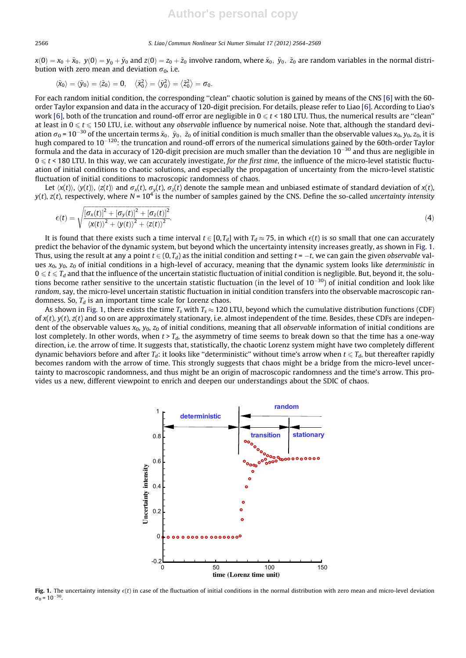#### 2566 S. Liao / Commun Nonlinear Sci Numer Simulat 17 (2012) 2564–2569

 $x(0) = x_0 + \tilde{x}_0$ ,  $y(0) = y_0 + \tilde{y}_0$  and  $z(0) = z_0 + \tilde{z}_0$  involve random, where  $\tilde{x}_0$ ,  $\tilde{y}_0$ ,  $\tilde{z}_0$  are random variables in the normal distribution with zero mean and deviation  $\sigma_0$ , i.e.

$$
\langle \tilde{x}_0 \rangle = \langle \tilde{y}_0 \rangle = \langle \tilde{z}_0 \rangle = 0, \quad \langle \tilde{x}_0^2 \rangle = \langle \tilde{y}_0^2 \rangle = \langle \tilde{z}_0^2 \rangle = \sigma_0.
$$

For each random initial condition, the corresponding "clean" chaotic solution is gained by means of the CNS [6] with the 60order Taylor expansion and data in the accuracy of 120-digit precision. For details, please refer to Liao [6]. According to Liao's work [6], both of the truncation and round-off error are negligible in  $0 \le t < 180$  LTU. Thus, the numerical results are "clean" at least in  $0 \le t \le 150$  LTU, i.e. without any observable influence by numerical noise. Note that, although the standard deviation  $\sigma_0$  = 10<sup>–30</sup> of the uncertain terms  $\tilde x_0,\ \tilde y_0,\ \tilde z_0$  of initial condition is much smaller than the observable values  $x_0,y_0,z_0$ , it is hugh compared to 10<sup>–120</sup>: the truncation and round-off errors of the numerical simulations gained by the 60th-order Taylor formula and the data in accuracy of 120-digit precision are much smaller than the deviation 10<sup>–30</sup> and thus are negligible in  $0 \leq t$  < 180 LTU. In this way, we can accurately investigate, for the first time, the influence of the micro-level statistic fluctuation of initial conditions to chaotic solutions, and especially the propagation of uncertainty from the micro-level statistic fluctuation of initial conditions to macroscopic randomness of chaos.

Let  $\langle x(t) \rangle$ ,  $\langle y(t) \rangle$ ,  $\langle z(t) \rangle$  and  $\sigma_x(t)$ ,  $\sigma_y(t)$ ,  $\sigma_z(t)$  denote the sample mean and unbiased estimate of standard deviation of  $x(t)$ ,  $y(t)$ ,  $z(t)$ , respectively, where  $N = 10<sup>4</sup>$  is the number of samples gained by the CNS. Define the so-called *uncertainty intensity* 

$$
\epsilon(t) = \sqrt{\frac{\left[\sigma_x(t)\right]^2 + \left[\sigma_y(t)\right]^2 + \left[\sigma_z(t)\right]^2}{\left\langle x(t)\right\rangle^2 + \left\langle y(t)\right\rangle^2 + \left\langle z(t)\right\rangle^2}}.
$$
\n(4)

It is found that there exists such a time interval  $t \in [0,T_d]$  with  $T_d \approx 75$ , in which  $\epsilon(t)$  is so small that one can accurately predict the behavior of the dynamic system, but beyond which the uncertainty intensity increases greatly, as shown in Fig. 1. Thus, using the result at any a point  $t\in (0,T_d)$  as the initial condition and setting  $t=-t$ , we can gain the given observable values  $x_0$ ,  $y_0$ ,  $z_0$  of initial conditions in a high-level of accuracy, meaning that the dynamic system looks like *deterministic* in  $0 \le t \le T_d$  and that the influence of the uncertain statistic fluctuation of initial condition is negligible. But, beyond it, the solutions become rather sensitive to the uncertain statistic fluctuation (in the level of  $10^{-30}$ ) of initial condition and look like random, say, the micro-level uncertain statistic fluctuation in initial condition transfers into the observable macroscopic randomness. So,  $T_d$  is an important time scale for Lorenz chaos.

As shown in Fig. 1, there exists the time  $T_s$  with  $T_s \approx 120$  LTU, beyond which the cumulative distribution functions (CDF) of  $x(t)$ ,  $y(t)$ ,  $z(t)$  and so on are approximately stationary, i.e. almost independent of the time. Besides, these CDFs are independent of the observable values  $x_0$ ,  $y_0$ ,  $z_0$  of initial conditions, meaning that all *observable* information of initial conditions are lost completely. In other words, when  $t > T_d$ , the asymmetry of time seems to break down so that the time has a one-way direction, i.e. the arrow of time. It suggests that, statistically, the chaotic Lorenz system might have two completely different dynamic behaviors before and after  $T_d$ : it looks like "deterministic" without time's arrow when  $t \leq T_d$ , but thereafter rapidly becomes random with the arrow of time. This strongly suggests that chaos might be a bridge from the micro-level uncertainty to macroscopic randomness, and thus might be an origin of macroscopic randomness and the time's arrow. This provides us a new, different viewpoint to enrich and deepen our understandings about the SDIC of chaos.



Fig. 1. The uncertainty intensity  $\epsilon(t)$  in case of the fluctuation of initial conditions in the normal distribution with zero mean and micro-level deviation  $\sigma_0 = 10^{-30}$ .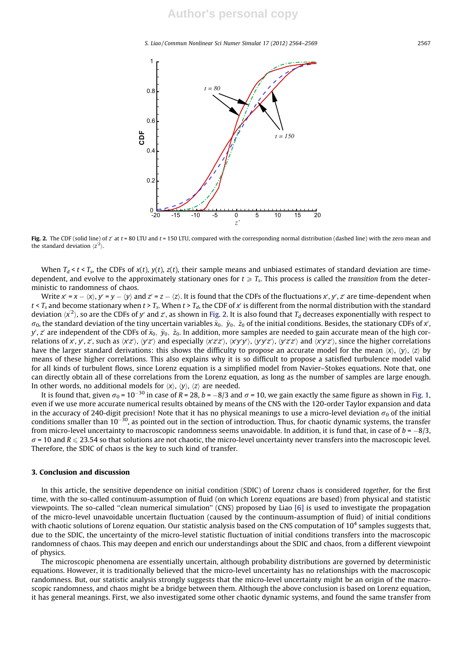S. Liao / Commun Nonlinear Sci Numer Simulat 17 (2012) 2564–2569 2567

*t = 80*





<u>ក្ខ</u>

0.6

0.8

1

Fig. 2. The CDF (solid line) of  $z'$  at  $t = 80$  LTU and  $t = 150$  LTU, compared with the corresponding normal distribution (dashed line) with the zero mean and the standard deviation  $\langle z^2 \rangle$ .

When  $T_d < t < T_s$ , the CDFs of  $x(t)$ ,  $y(t)$ ,  $z(t)$ , their sample means and unbiased estimates of standard deviation are timedependent, and evolve to the approximately stationary ones for  $t \geq T_s$ . This process is called the *transition* from the deterministic to randomness of chaos.

Write  $x' = x - \langle x \rangle$ ,  $y' = y - \langle y \rangle$  and  $z' = z - \langle z \rangle$ . It is found that the CDFs of the fluctuations x', y', z' are time-dependent when  $t < T_s$  and become stationary when  $t > T_s$ . When  $t > T_d$ , the CDF of x' is different from the normal distribution with the standard deviation  $\langle x^2\rangle$ , so are the CDFs of y' and z', as shown in Fig. 2. It is also found that  $T_d$  decreases exponentially with respect to  $\sigma_0$ , the standard deviation of the tiny uncertain variables  $\tilde x_0,~\tilde y_0,~\tilde z_0$  of the initial conditions. Besides, the stationary CDFs of x', y', z' are independent of the CDFs of  $\tilde{x}_0,\ \tilde{y}_0,\ \tilde{z}_0.$  In addition, more samples are needed to gain accurate mean of the high correlations of x', y', z', such as  $\langle x'z'\rangle$ ,  $\langle y'z'\rangle$  and especially  $\langle x'z'z'\rangle$ ,  $\langle x'y'y'\rangle$ ,  $\langle y'z'z'\rangle$ ,  $\langle y'z'z'\rangle$  and  $\langle x'y'z'\rangle$ , since the higher correlations have the larger standard derivations: this shows the difficulty to propose an accurate model for the mean  $\langle x \rangle$ ,  $\langle y \rangle$ ,  $\langle z \rangle$  by means of these higher correlations. This also explains why it is so difficult to propose a satisfied turbulence model valid for all kinds of turbulent flows, since Lorenz equation is a simplified model from Navier–Stokes equations. Note that, one can directly obtain all of these correlations from the Lorenz equation, as long as the number of samples are large enough. In other words, no additional models for  $\langle x \rangle$ ,  $\langle y \rangle$ ,  $\langle z \rangle$  are needed.

It is found that, given  $\sigma_0$  = 10<sup>-30</sup> in case of R = 28, b = -8/3 and  $\sigma$  = 10, we gain exactly the same figure as shown in Fig. 1, even if we use more accurate numerical results obtained by means of the CNS with the 120-order Taylor expansion and data in the accuracy of 240-digit precision! Note that it has no physical meanings to use a micro-level deviation  $\sigma_0$  of the initial conditions smaller than 10<sup>–30</sup>, as pointed out in the section of introduction. Thus, for chaotic dynamic systems, the transfer from micro-level uncertainty to macroscopic randomness seems unavoidable. In addition, it is fund that, in case of  $b$  =  $-8/3,$  $\sigma$  = 10 and R  $\leq$  23.54 so that solutions are not chaotic, the micro-level uncertainty never transfers into the macroscopic level. Therefore, the SDIC of chaos is the key to such kind of transfer.

# 3. Conclusion and discussion

In this article, the sensitive dependence on initial condition (SDIC) of Lorenz chaos is considered together, for the first time, with the so-called continuum-assumption of fluid (on which Lorenz equations are based) from physical and statistic viewpoints. The so-called ''clean numerical simulation'' (CNS) proposed by Liao [6] is used to investigate the propagation of the micro-level unavoidable uncertain fluctuation (caused by the continuum-assumption of fluid) of initial conditions with chaotic solutions of Lorenz equation. Our statistic analysis based on the CNS computation of  $10^4$  samples suggests that, due to the SDIC, the uncertainty of the micro-level statistic fluctuation of initial conditions transfers into the macroscopic randomness of chaos. This may deepen and enrich our understandings about the SDIC and chaos, from a different viewpoint of physics.

The microscopic phenomena are essentially uncertain, although probability distributions are governed by deterministic equations. However, it is traditionally believed that the micro-level uncertainty has no relationships with the macroscopic randomness. But, our statistic analysis strongly suggests that the micro-level uncertainty might be an origin of the macroscopic randomness, and chaos might be a bridge between them. Although the above conclusion is based on Lorenz equation, it has general meanings. First, we also investigated some other chaotic dynamic systems, and found the same transfer from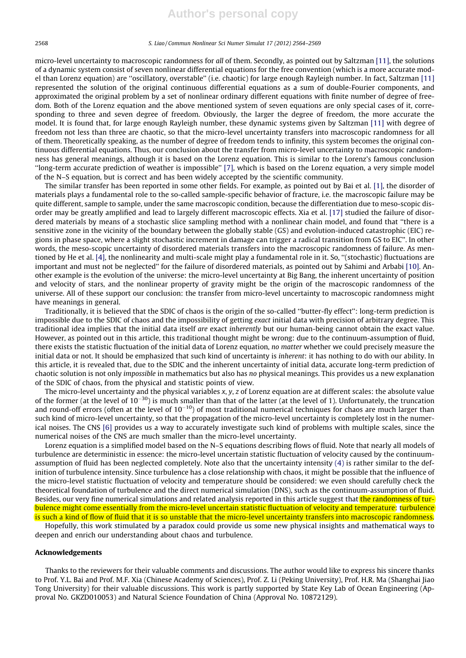#### 2568 S. Liao / Commun Nonlinear Sci Numer Simulat 17 (2012) 2564–2569

micro-level uncertainty to macroscopic randomness for all of them. Secondly, as pointed out by Saltzman [11], the solutions of a dynamic system consist of seven nonlinear differential equations for the free convention (which is a more accurate model than Lorenz equation) are ''oscillatory, overstable'' (i.e. chaotic) for large enough Rayleigh number. In fact, Saltzman [11] represented the solution of the original continuous differential equations as a sum of double-Fourier components, and approximated the original problem by a set of nonlinear ordinary different equations with finite number of degree of freedom. Both of the Lorenz equation and the above mentioned system of seven equations are only special cases of it, corresponding to three and seven degree of freedom. Obviously, the larger the degree of freedom, the more accurate the model. It is found that, for large enough Rayleigh number, these dynamic systems given by Saltzman [11] with degree of freedom not less than three are chaotic, so that the micro-level uncertainty transfers into macroscopic randomness for all of them. Theoretically speaking, as the number of degree of freedom tends to infinity, this system becomes the original continuous differential equations. Thus, our conclusion about the transfer from micro-level uncertainty to macroscopic randomness has general meanings, although it is based on the Lorenz equation. This is similar to the Lorenz's famous conclusion ''long-term accurate prediction of weather is impossible'' [7], which is based on the Lorenz equation, a very simple model of the N–S equation, but is correct and has been widely accepted by the scientific community.

The similar transfer has been reported in some other fields. For example, as pointed out by Bai et al. [1], the disorder of materials plays a fundamental role to the so-called sample-specific behavior of fracture, i.e. the macroscopic failure may be quite different, sample to sample, under the same macroscopic condition, because the differentiation due to meso-scopic disorder may be greatly amplified and lead to largely different macroscopic effects. Xia et al. [17] studied the failure of disordered materials by means of a stochastic slice sampling method with a nonlinear chain model, and found that ''there is a sensitive zone in the vicinity of the boundary between the globally stable (GS) and evolution-induced catastrophic (EIC) regions in phase space, where a slight stochastic increment in damage can trigger a radical transition from GS to EIC''. In other words, the meso-scopic uncertainty of disordered materials transfers into the macroscopic randomness of failure. As mentioned by He et al. [4], the nonlinearity and multi-scale might play a fundamental role in it. So, ''(stochastic) fluctuations are important and must not be neglected'' for the failure of disordered materials, as pointed out by Sahimi and Arbabi [10]. Another example is the evolution of the universe: the micro-level uncertainty at Big Bang, the inherent uncertainty of position and velocity of stars, and the nonlinear property of gravity might be the origin of the macroscopic randomness of the universe. All of these support our conclusion: the transfer from micro-level uncertainty to macroscopic randomness might have meanings in general.

Traditionally, it is believed that the SDIC of chaos is the origin of the so-called ''butter-fly effect'': long-term prediction is impossible due to the SDIC of chaos and the impossibility of getting exact initial data with precision of arbitrary degree. This traditional idea implies that the initial data itself are exact inherently but our human-being cannot obtain the exact value. However, as pointed out in this article, this traditional thought might be wrong: due to the continuum-assumption of fluid, there exists the statistic fluctuation of the initial data of Lorenz equation, no matter whether we could precisely measure the initial data or not. It should be emphasized that such kind of uncertainty is inherent: it has nothing to do with our ability. In this article, it is revealed that, due to the SDIC and the inherent uncertainty of initial data, accurate long-term prediction of chaotic solution is not only impossible in mathematics but also has no physical meanings. This provides us a new explanation of the SDIC of chaos, from the physical and statistic points of view.

The micro-level uncertainty and the physical variables  $x, y, z$  of Lorenz equation are at different scales: the absolute value of the former (at the level of  $10^{-30}$ ) is much smaller than that of the latter (at the level of 1). Unfortunately, the truncation and round-off errors (often at the level of  $10^{-10}$ ) of most traditional numerical techniques for chaos are much larger than such kind of micro-level uncertainty, so that the propagation of the micro-level uncertainty is completely lost in the numerical noises. The CNS [6] provides us a way to accurately investigate such kind of problems with multiple scales, since the numerical noises of the CNS are much smaller than the micro-level uncertainty.

Lorenz equation is a simplified model based on the N–S equations describing flows of fluid. Note that nearly all models of turbulence are deterministic in essence: the micro-level uncertain statistic fluctuation of velocity caused by the continuumassumption of fluid has been neglected completely. Note also that the uncertainty intensity (4) is rather similar to the definition of turbulence intensity. Since turbulence has a close relationship with chaos, it might be possible that the influence of the micro-level statistic fluctuation of velocity and temperature should be considered: we even should carefully check the theoretical foundation of turbulence and the direct numerical simulation (DNS), such as the continuum-assumption of fluid. Besides, our very fine numerical simulations and related analysis reported in this article suggest that the randomness of turbulence might come essentially from the micro-level uncertain statistic fluctuation of velocity and temperature: turbulence is such a kind of flow of fluid that it is so unstable that the micro-level uncertainty transfers into macroscopic randomness.

Hopefully, this work stimulated by a paradox could provide us some new physical insights and mathematical ways to deepen and enrich our understanding about chaos and turbulence.

### Acknowledgements

Thanks to the reviewers for their valuable comments and discussions. The author would like to express his sincere thanks to Prof. Y.L. Bai and Prof. M.F. Xia (Chinese Academy of Sciences), Prof. Z. Li (Peking University), Prof. H.R. Ma (Shanghai Jiao Tong University) for their valuable discussions. This work is partly supported by State Key Lab of Ocean Engineering (Approval No. GKZD010053) and Natural Science Foundation of China (Approval No. 10872129).